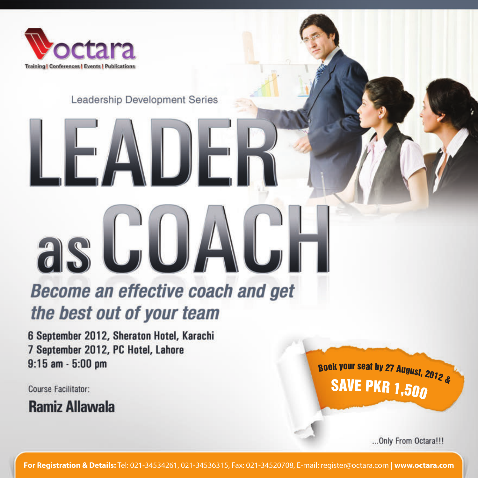

 $\blacksquare$ 

### Leadership Development Series

## **Become an effective coach and get** the best out of your team

6 September 2012, Sheraton Hotel, Karachi 7 September 2012, PC Hotel, Lahore  $9:15$  am  $-5:00$  pm

as GUI

Course Facilitator:

**Ramiz Allawala** 

Book your seat by 27 August, 2012 & **SAVE PKR 1,500** 

... Only From Octara!!!

For Registration & Details: Tel: 021-34534261, 021-34536315, Fax: 021-34520708, E-mail: register@octara.com | www.octara.com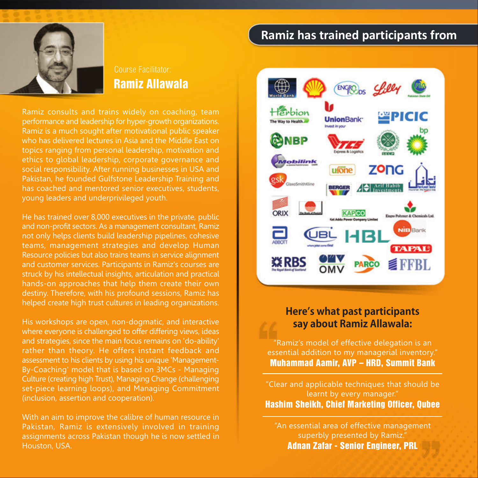

# **Ramiz Allawala**

Ramiz consults and trains widely on coaching, team performance and leadership for hyper-growth organizations. Ramiz is a much sought after motivational public speaker who has delivered lectures in Asia and the Middle East on topics ranging from personal leadership, motivation and ethics to global leadership, corporate governance and social responsibility. After running businesses in USA and Pakistan, he founded Gulfstone Leadership Training and has coached and mentored senior executives, students, young leaders and underprivileged youth.

He has trained over 8,000 executives in the private, public and non-profit sectors. As a management consultant, Ramiz not only helps clients build leadership pipelines, cohesive teams, management strategies and develop Human Resource policies but also trains teams in service alignment and customer services. Participants in Ramiz's courses are struck by his intellectual insights, articulation and practical hands-on approaches that help them create their own destiny. Therefore, with his profound sessions, Ramiz has helped create high trust cultures in leading organizations.

His workshops are open, non-dogmatic, and interactive where everyone is challenged to offer differing views, ideas and strategies, since the main focus remains on 'do-ability' rather than theory. He offers instant feedback and assessment to his clients by using his unique 'Management-By-Coaching' model that is based on 3MCs - Managing Culture (creating high Trust), Managing Change (challenging set-piece learning loops), and Managing Commitment (inclusion, assertion and cooperation).

With an aim to improve the calibre of human resource in Pakistan, Ramiz is extensively involved in training assignments across Pakistan though he is now settled in Houston, USA.

## Ramiz has trained participants from



### Here's what past participants say about Ramiz Allawala:

"Ramiz's model of effective delegation is an essential addition to my managerial inventory." **Muhammad Aamir, AVP - HRD, Summit Bank** 

"Clear and applicable techniques that should be learnt by every manager." **Hashim Sheikh, Chief Marketing Officer, Qubee** 

"An essential area of effective management superbly presented by Ramiz." **Adnan Zafar - Senior Engineer, PRL**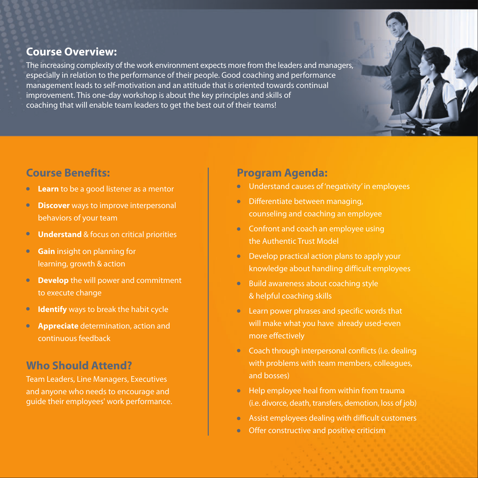### **Course Overview:**

The increasing complexity of the work environment expects more from the leaders and managers, especially in relation to the performance of their people. Good coaching and performance management leads to self-motivation and an attitude that is oriented towards continual improvement. This one-day workshop is about the key principles and skills of coaching that will enable team leaders to get the best out of their teams!

### **Course Benefits:**

- Learn to be a good listener as a mentor  $\bullet$
- **Discover** ways to improve interpersonal  $\bullet$ behaviors of your team
- **Understand & focus on critical priorities**
- **Gain** insight on planning for  $\bullet$ learning, growth & action
- **Develop** the will power and commitment  $\bullet$ to execute change
- **Identify** ways to break the habit cycle
- $\bullet$ **Appreciate** determination, action and continuous feedback

## **Who Should Attend?**

Team Leaders, Line Managers, Executives and anyone who needs to encourage and quide their employees' work performance.

### **Program Agenda:**

- Understand causes of 'negativity' in employees
- Differentiate between managing. counseling and coaching an employee
- Confront and coach an employee using the Authentic Trust Model
- Develop practical action plans to apply your knowledge about handling difficult employees
- Build awareness about coaching style & helpful coaching skills
- Learn power phrases and specific words that will make what you have already used-even more effectively
- Coach through interpersonal conflicts (i.e. dealing with problems with team members, colleagues, and bosses)
- Help employee heal from within from trauma (i.e. divorce, death, transfers, demotion, loss of job)
- Assist employees dealing with difficult customers
- Offer constructive and positive criticism